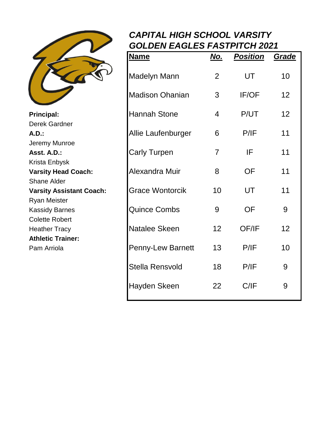

## *CAPITAL HIGH SCHOOL VARSITY GOLDEN EAGLES FASTPITCH 2021*

|                                                       | <b>Name</b>              | <u>No.</u>     | <b>Position</b> | Grade |
|-------------------------------------------------------|--------------------------|----------------|-----------------|-------|
|                                                       | <b>Madelyn Mann</b>      | $\overline{2}$ | UT              | 10    |
|                                                       | <b>Madison Ohanian</b>   | 3              | IF/OF           | 12    |
| Principal:<br>Derek Gardner<br><b>A.D.:</b>           | <b>Hannah Stone</b>      | $\overline{4}$ | P/UT            | 12    |
|                                                       | Allie Laufenburger       | 6              | P/IF            | 11    |
| Jeremy Munroe<br>Asst. A.D.:                          | <b>Carly Turpen</b>      | $\overline{7}$ | IF              | 11    |
| Krista Enbysk<br><b>Varsity Head Coach:</b>           | Alexandra Muir           | 8              | <b>OF</b>       | 11    |
| <b>Shane Alder</b><br><b>Varsity Assistant Coach:</b> | <b>Grace Wontorcik</b>   | 10             | UT              | 11    |
| <b>Ryan Meister</b><br><b>Kassidy Barnes</b>          | <b>Quince Combs</b>      | 9              | <b>OF</b>       | 9     |
| <b>Colette Robert</b><br><b>Heather Tracy</b>         | Natalee Skeen            | 12             | OF/IF           | 12    |
| <b>Athletic Trainer:</b><br>Pam Arriola               | <b>Penny-Lew Barnett</b> | 13             | P/IF            | 10    |
|                                                       | <b>Stella Rensvold</b>   | 18             | P/IF            | 9     |
|                                                       | Hayden Skeen             | 22             | C/IF            | 9     |
|                                                       |                          |                |                 |       |